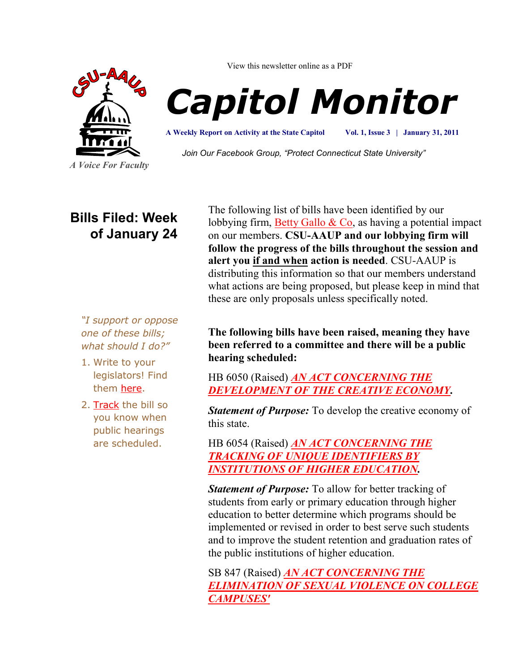

View this newsletter online as a PDF



**A Weekly Report on Activity at the State Capitol**

**Vol. 1, Issue 3 | January 31, 2011**

*Join Our Facebook Group, "Protect Connecticut State University"*

# **Bills Filed: Week of January 24**

*"I support or oppose one of these bills; what should I do?"*

- 1. Write to your legislators! Find them [here.](http://www.congressweb.com/cweb4/index.cfm?orgcode=BGAUP)
- 2. [Track](http://www.cga.ct.gov/aspx/CGAPublicBillTrack/Register.aspx) the bill so you know when public hearings are scheduled.

The following list of bills have been identified by our lobbying firm, Betty Gallo  $& Co$ , as having a potential impact on our members. **CSU-AAUP and our lobbying firm will follow the progress of the bills throughout the session and alert you if and when action is needed**. CSU-AAUP is distributing this information so that our members understand what actions are being proposed, but please keep in mind that these are only proposals unless specifically noted.

## **The following bills have been raised, meaning they have been referred to a committee and there will be a public hearing scheduled:**

HB 6050 (Raised) *[AN ACT CONCERNING THE](http://www.cga.ct.gov/2011/TOB/H/2011HB-06050-R00-HB.htm)  [DEVELOPMENT OF THE CREATIVE ECONOMY.](http://www.cga.ct.gov/2011/TOB/H/2011HB-06050-R00-HB.htm)*

*Statement of Purpose:* To develop the creative economy of this state.

HB 6054 (Raised) *[AN ACT CONCERNING THE](http://www.cga.ct.gov/2011/TOB/H/2011HB-06054-R00-HB.htm)  [TRACKING OF UNIQUE IDENTIFIERS BY](http://www.cga.ct.gov/2011/TOB/H/2011HB-06054-R00-HB.htm)  [INSTITUTIONS OF HIGHER EDUCATION.](http://www.cga.ct.gov/2011/TOB/H/2011HB-06054-R00-HB.htm)*

*Statement of Purpose:* To allow for better tracking of students from early or primary education through higher education to better determine which programs should be implemented or revised in order to best serve such students and to improve the student retention and graduation rates of the public institutions of higher education.

SB 847 (Raised) *[AN ACT CONCERNING THE](http://www.cga.ct.gov/asp/cgabillstatus/cgabillstatus.asp?selBillType=Bill&bill_num=SB00847&which_year=2011)  [ELIMINATION OF SEXUAL VIOLENCE ON COLLEGE](http://www.cga.ct.gov/asp/cgabillstatus/cgabillstatus.asp?selBillType=Bill&bill_num=SB00847&which_year=2011)  [CAMPUSES'](http://www.cga.ct.gov/asp/cgabillstatus/cgabillstatus.asp?selBillType=Bill&bill_num=SB00847&which_year=2011)*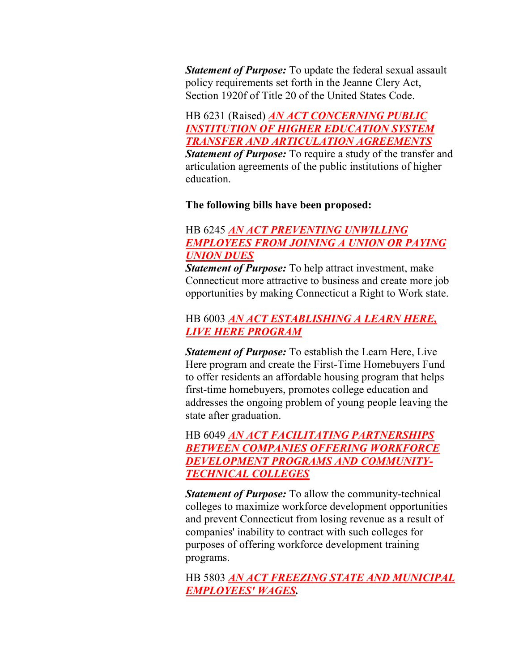*Statement of Purpose:* To update the federal sexual assault policy requirements set forth in the Jeanne Clery Act, Section 1920f of Title 20 of the United States Code.

HB 6231 (Raised) *[AN ACT CONCERNING PUBLIC](http://www.cga.ct.gov/asp/cgabillstatus/cgabillstatus.asp?selBillType=Bill&bill_num=HB06231&which_year=2011)  [INSTITUTION OF HIGHER EDUCATION SYSTEM](http://www.cga.ct.gov/asp/cgabillstatus/cgabillstatus.asp?selBillType=Bill&bill_num=HB06231&which_year=2011)  [TRANSFER AND ARTICULATION AGREEMENTS](http://www.cga.ct.gov/asp/cgabillstatus/cgabillstatus.asp?selBillType=Bill&bill_num=HB06231&which_year=2011) Statement of Purpose:* To require a study of the transfer and articulation agreements of the public institutions of higher education.

#### **The following bills have been proposed:**

### HB 6245 *[AN ACT PREVENTING UNWILLING](http://www.cga.ct.gov/asp/cgabillstatus/cgabillstatus.asp?selBillType=Bill&bill_num=HB06245&which_year=2011)  [EMPLOYEES FROM JOINING A UNION OR PAYING](http://www.cga.ct.gov/asp/cgabillstatus/cgabillstatus.asp?selBillType=Bill&bill_num=HB06245&which_year=2011)  [UNION DUES](http://www.cga.ct.gov/asp/cgabillstatus/cgabillstatus.asp?selBillType=Bill&bill_num=HB06245&which_year=2011)*

*Statement of Purpose:* To help attract investment, make Connecticut more attractive to business and create more job opportunities by making Connecticut a Right to Work state.

### HB 6003 *[AN ACT ESTABLISHING A LEARN HERE,](http://www.cga.ct.gov/2011/TOB/H/2011HB-06003-R00-HB.htm)  [LIVE HERE PROGRAM](http://www.cga.ct.gov/2011/TOB/H/2011HB-06003-R00-HB.htm)*

*Statement of Purpose:* To establish the Learn Here, Live Here program and create the First-Time Homebuyers Fund to offer residents an affordable housing program that helps first-time homebuyers, promotes college education and addresses the ongoing problem of young people leaving the state after graduation.

HB 6049 *[AN ACT FACILITATING PARTNERSHIPS](http://www.cga.ct.gov/2011/TOB/H/2011HB-06049-R00-HB.htm)  [BETWEEN COMPANIES OFFERING WORKFORCE](http://www.cga.ct.gov/2011/TOB/H/2011HB-06049-R00-HB.htm)  [DEVELOPMENT PROGRAMS AND COMMUNITY-](http://www.cga.ct.gov/2011/TOB/H/2011HB-06049-R00-HB.htm)[TECHNICAL COLLEGES](http://www.cga.ct.gov/2011/TOB/H/2011HB-06049-R00-HB.htm)*

*Statement of Purpose:* To allow the community-technical colleges to maximize workforce development opportunities and prevent Connecticut from losing revenue as a result of companies' inability to contract with such colleges for purposes of offering workforce development training programs.

HB 5803 *[AN ACT FREEZING STATE AND MUNICIPAL](http://www.cga.ct.gov/2011/TOB/H/2011HB-05803-R00-HB.htm)  [EMPLOYEES' WAGES.](http://www.cga.ct.gov/2011/TOB/H/2011HB-05803-R00-HB.htm)*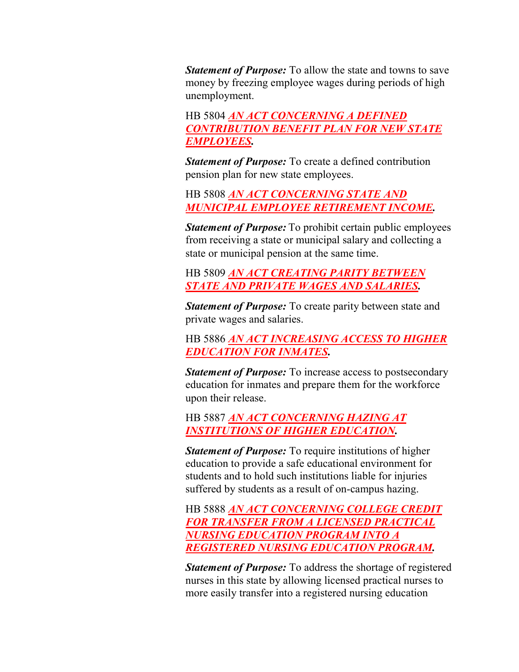*Statement of Purpose:* To allow the state and towns to save money by freezing employee wages during periods of high unemployment.

HB 5804 *[AN ACT CONCERNING A DEFINED](http://www.cga.ct.gov/2011/TOB/H/2011HB-05804-R00-HB.htm)  [CONTRIBUTION BENEFIT PLAN FOR NEW STATE](http://www.cga.ct.gov/2011/TOB/H/2011HB-05804-R00-HB.htm)  [EMPLOYEES.](http://www.cga.ct.gov/2011/TOB/H/2011HB-05804-R00-HB.htm)*

*Statement of Purpose:* To create a defined contribution pension plan for new state employees.

HB 5808 *[AN ACT CONCERNING STATE AND](http://www.cga.ct.gov/2011/TOB/H/2011HB-05808-R00-HB.htm)  [MUNICIPAL EMPLOYEE RETIREMENT INCOME.](http://www.cga.ct.gov/2011/TOB/H/2011HB-05808-R00-HB.htm)*

*Statement of Purpose:* To prohibit certain public employees from receiving a state or municipal salary and collecting a state or municipal pension at the same time.

HB 5809 *[AN ACT CREATING PARITY BETWEEN](http://www.cga.ct.gov/2011/TOB/H/2011HB-05809-R00-HB.htm)  [STATE AND PRIVATE WAGES AND SALARIES.](http://www.cga.ct.gov/2011/TOB/H/2011HB-05809-R00-HB.htm)*

*Statement of Purpose:* To create parity between state and private wages and salaries.

HB 5886 *[AN ACT INCREASING ACCESS TO HIGHER](http://www.cga.ct.gov/2011/TOB/H/2011HB-05886-R00-HB.htm)  [EDUCATION FOR INMATES.](http://www.cga.ct.gov/2011/TOB/H/2011HB-05886-R00-HB.htm)*

*Statement of Purpose:* To increase access to postsecondary education for inmates and prepare them for the workforce upon their release.

HB 5887 *[AN ACT CONCERNING HAZING AT](http://www.cga.ct.gov/2011/TOB/H/2011HB-05887-R00-HB.htm)  [INSTITUTIONS OF HIGHER EDUCATION.](http://www.cga.ct.gov/2011/TOB/H/2011HB-05887-R00-HB.htm)*

*Statement of Purpose:* To require institutions of higher education to provide a safe educational environment for students and to hold such institutions liable for injuries suffered by students as a result of on-campus hazing.

HB 5888 *[AN ACT CONCERNING COLLEGE CREDIT](http://www.cga.ct.gov/2011/TOB/H/2011HB-05888-R00-HB.htm)  [FOR TRANSFER FROM A LICENSED PRACTICAL](http://www.cga.ct.gov/2011/TOB/H/2011HB-05888-R00-HB.htm)  [NURSING EDUCATION PROGRAM INTO A](http://www.cga.ct.gov/2011/TOB/H/2011HB-05888-R00-HB.htm)  [REGISTERED NURSING EDUCATION PROGRAM.](http://www.cga.ct.gov/2011/TOB/H/2011HB-05888-R00-HB.htm)*

*Statement of Purpose:* To address the shortage of registered nurses in this state by allowing licensed practical nurses to more easily transfer into a registered nursing education